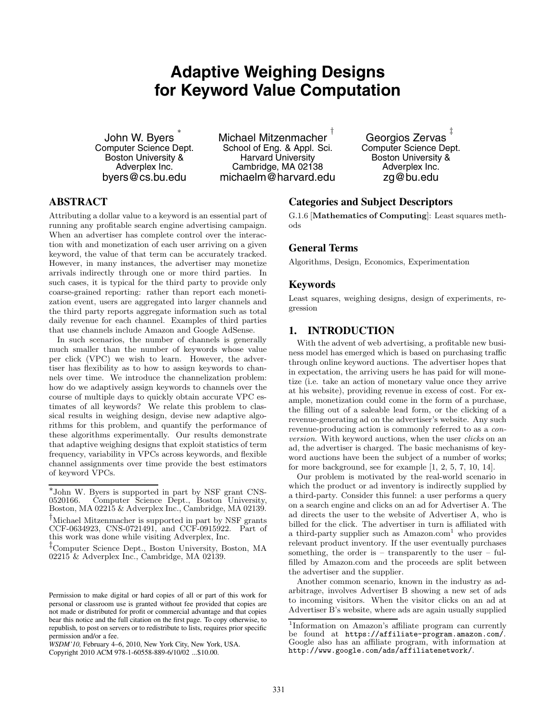# **Adaptive Weighing Designs for Keyword Value Computation**

John W. Byers Computer Science Dept. Boston University & Adverplex Inc. byers@cs.bu.edu

Michael Mitzenmacher † School of Eng. & Appl. Sci. Harvard University Cambridge, MA 02138 michaelm@harvard.edu

Georgios Zervas Computer Science Dept. Boston University & Adverplex Inc. zg@bu.edu

# **ABSTRACT**

Attributing a dollar value to a keyword is an essential part of running any profitable search engine advertising campaign. When an advertiser has complete control over the interaction with and monetization of each user arriving on a given keyword, the value of that term can be accurately tracked. However, in many instances, the advertiser may monetize arrivals indirectly through one or more third parties. In such cases, it is typical for the third party to provide only coarse-grained reporting: rather than report each monetization event, users are aggregated into larger channels and the third party reports aggregate information such as total daily revenue for each channel. Examples of third parties that use channels include Amazon and Google AdSense.

In such scenarios, the number of channels is generally much smaller than the number of keywords whose value per click (VPC) we wish to learn. However, the advertiser has flexibility as to how to assign keywords to channels over time. We introduce the channelization problem: how do we adaptively assign keywords to channels over the course of multiple days to quickly obtain accurate VPC estimates of all keywords? We relate this problem to classical results in weighing design, devise new adaptive algorithms for this problem, and quantify the performance of these algorithms experimentally. Our results demonstrate that adaptive weighing designs that exploit statistics of term frequency, variability in VPCs across keywords, and flexible channel assignments over time provide the best estimators of keyword VPCs.

# Copyright 2010 ACM 978-1-60558-889-6/10/02 ...\$10.00.

## **Categories and Subject Descriptors**

G.1.6 [**Mathematics of Computing**]: Least squares methods

### **General Terms**

Algorithms, Design, Economics, Experimentation

# **Keywords**

Least squares, weighing designs, design of experiments, regression

# **1. INTRODUCTION**

With the advent of web advertising, a profitable new business model has emerged which is based on purchasing traffic through online keyword auctions. The advertiser hopes that in expectation, the arriving users he has paid for will monetize (i.e. take an action of monetary value once they arrive at his website), providing revenue in excess of cost. For example, monetization could come in the form of a purchase, the filling out of a saleable lead form, or the clicking of a revenue-generating ad on the advertiser's website. Any such revenue-producing action is commonly referred to as a *conversion*. With keyword auctions, when the user *clicks* on an ad, the advertiser is charged. The basic mechanisms of keyword auctions have been the subject of a number of works; for more background, see for example [1, 2, 5, 7, 10, 14].

Our problem is motivated by the real-world scenario in which the product or ad inventory is indirectly supplied by a third-party. Consider this funnel: a user performs a query on a search engine and clicks on an ad for Advertiser A. The ad directs the user to the website of Advertiser A, who is billed for the click. The advertiser in turn is affiliated with a third-party supplier such as  $\text{Amazon.com}^1$  who provides relevant product inventory. If the user eventually purchases something, the order is – transparently to the user – fulfilled by Amazon.com and the proceeds are split between the advertiser and the supplier.

Another common scenario, known in the industry as adarbitrage, involves Advertiser B showing a new set of ads to incoming visitors. When the visitor clicks on an ad at Advertiser B's website, where ads are again usually supplied

<sup>∗</sup>John W. Byers is supported in part by NSF grant CNS-0520166. Computer Science Dept., Boston University, Boston, MA 02215 & Adverplex Inc., Cambridge, MA 02139. †Michael Mitzenmacher is supported in part by NSF grants

CCF-0634923, CNS-0721491, and CCF-0915922. Part of this work was done while visiting Adverplex, Inc.

<sup>‡</sup>Computer Science Dept., Boston University, Boston, MA 02215 & Adverplex Inc., Cambridge, MA 02139.

Permission to make digital or hard copies of all or part of this work for personal or classroom use is granted without fee provided that copies are not made or distributed for profit or commercial advantage and that copies bear this notice and the full citation on the first page. To copy otherwise, to republish, to post on servers or to redistribute to lists, requires prior specific permission and/or a fee.

*WSDM'10,* February 4–6, 2010, New York City, New York, USA.

<sup>1</sup>Information on Amazon's affiliate program can currently be found at https://affiliate-program.amazon.com/. Google also has an affiliate program, with information at http://www.google.com/ads/affiliatenetwork/.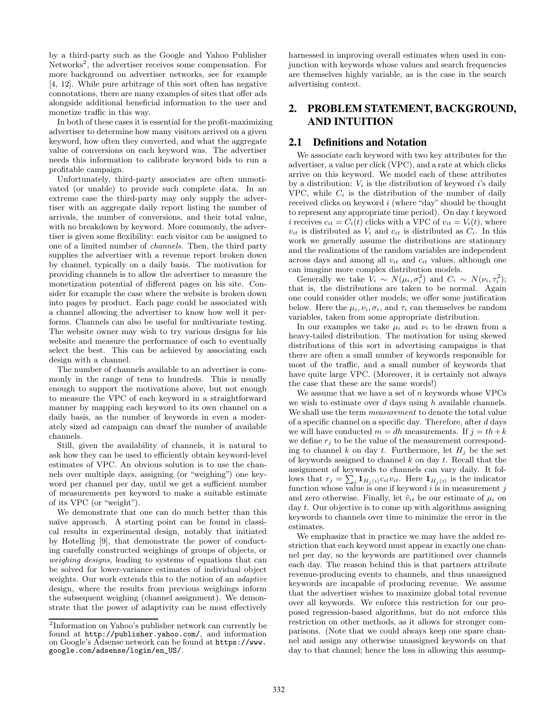by a third-party such as the Google and Yahoo Publisher Networks<sup>2</sup>, the advertiser receives some compensation. For more background on advertiser networks, see for example [4, 12]. While pure arbitrage of this sort often has negative connotations, there are many examples of sites that offer ads alongside additional beneficial information to the user and monetize traffic in this way.

In both of these cases it is essential for the profit-maximizing advertiser to determine how many visitors arrived on a given keyword, how often they converted, and what the aggregate value of conversions on each keyword was. The advertiser needs this information to calibrate keyword bids to run a profitable campaign.

Unfortunately, third-party associates are often unmotivated (or unable) to provide such complete data. In an extreme case the third-party may only supply the advertiser with an aggregate daily report listing the number of arrivals, the number of conversions, and their total value, with no breakdown by keyword. More commonly, the advertiser is given some flexibility: each visitor can be assigned to one of a limited number of *channels.* Then, the third party supplies the advertiser with a revenue report broken down by channel, typically on a daily basis. The motivation for providing channels is to allow the advertiser to measure the monetization potential of different pages on his site. Consider for example the case where the website is broken down into pages by product. Each page could be associated with a channel allowing the advertiser to know how well it performs. Channels can also be useful for multivariate testing. The website owner may wish to try various designs for his website and measure the performance of each to eventually select the best. This can be achieved by associating each design with a channel.

The number of channels available to an advertiser is commonly in the range of tens to hundreds. This is usually enough to support the motivations above, but not enough to measure the VPC of each keyword in a straightforward manner by mapping each keyword to its own channel on a daily basis, as the number of keywords in even a moderately sized ad campaign can dwarf the number of available channels.

Still, given the availability of channels, it is natural to ask how they can be used to efficiently obtain keyword-level estimates of VPC. An obvious solution is to use the channels over multiple days, assigning (or "weighing") one keyword per channel per day, until we get a sufficient number of measurements per keyword to make a suitable estimate of its VPC (or "weight").

We demonstrate that one can do much better than this naïve approach. A starting point can be found in classical results in experimental design, notably that initiated by Hotelling [9], that demonstrate the power of conducting carefully constructed weighings of groups of objects, or *weighing designs*, leading to systems of equations that can be solved for lower-variance estimates of individual object weights. Our work extends this to the notion of an *adaptive* design, where the results from previous weighings inform the subsequent weighing (channel assignment). We demonstrate that the power of adaptivity can be most effectively

harnessed in improving overall estimates when used in conjunction with keywords whose values and search frequencies are themselves highly variable, as is the case in the search advertising context.

# **2. PROBLEM STATEMENT, BACKGROUND, AND INTUITION**

# **2.1 Definitions and Notation**

We associate each keyword with two key attributes for the advertiser, a value per click (VPC), and a rate at which clicks arrive on this keyword. We model each of these attributes by a distribution:  $V_i$  is the distribution of keyword i's daily VPC, while  $C_i$  is the distribution of the number of daily received clicks on keyword i (where "day" should be thought to represent any appropriate time period). On day t keyword i receives  $c_{it} = C_i(t)$  clicks with a VPC of  $v_{it} = V_i(t)$ , where  $v_{it}$  is distributed as  $V_i$  and  $c_{it}$  is distributed as  $C_i$ . In this work we generally assume the distributions are stationary and the realizations of the random variables are independent across days and among all  $v_{it}$  and  $c_{it}$  values, although one can imagine more complex distribution models.

Generally we take  $V_i \sim N(\mu_i, \sigma_i^2)$  and  $C_i \sim N(\nu_i, \tau_i^2)$ ; that is, the distributions are taken to be normal. Again one could consider other models; we offer some justification below. Here the  $\mu_i, \nu_i, \sigma_i$ , and  $\tau_i$  can themselves be random variables, taken from some appropriate distribution.

In our examples we take  $\mu_i$  and  $\nu_i$  to be drawn from a heavy-tailed distribution. The motivation for using skewed distributions of this sort in advertising campaigns is that there are often a small number of keywords responsible for most of the traffic, and a small number of keywords that have quite large VPC. (Moreover, it is certainly not always the case that these are the same words!)

We assume that we have a set of  $n$  keywords whose VPCs we wish to estimate over  $d$  days using  $h$  available channels. We shall use the term *measurement* to denote the total value of a specific channel on a specific day. Therefore, after d days we will have conducted  $m = dh$  measurements. If  $j = th + k$ we define  $r_j$  to be the value of the measurement corresponding to channel k on day t. Furthermore, let  $H_j$  be the set of keywords assigned to channel  $k$  on day  $t$ . Recall that the assignment of keywords to channels can vary daily. It follows that  $r_j = \sum_i \mathbf{1}_{H_j(i)} c_{it} v_{it}$ . Here  $\mathbf{1}_{H_j(i)}$  is the indicator function whose value is one if keyword  $i$  is in measurement j and zero otherwise. Finally, let  $\hat{v}_{it}$  be our estimate of  $\mu_i$  on day t. Our objective is to come up with algorithms assigning keywords to channels over time to minimize the error in the estimates.

We emphasize that in practice we may have the added restriction that each keyword must appear in exactly one channel per day, so the keywords are partitioned over channels each day. The reason behind this is that partners attribute revenue-producing events to channels, and thus unassigned keywords are incapable of producing revenue. We assume that the advertiser wishes to maximize global total revenue over all keywords. We enforce this restriction for our proposed regression-based algorithms, but do not enforce this restriction on other methods, as it allows for stronger comparisons. (Note that we could always keep one spare channel and assign any otherwise unassigned keywords on that day to that channel; hence the loss in allowing this assump-

<sup>2</sup>Information on Yahoo's publisher network can currently be found at http://publisher.yahoo.com/, and information on Google's Adsense network can be found at https://www. google.com/adsense/login/en\_US/.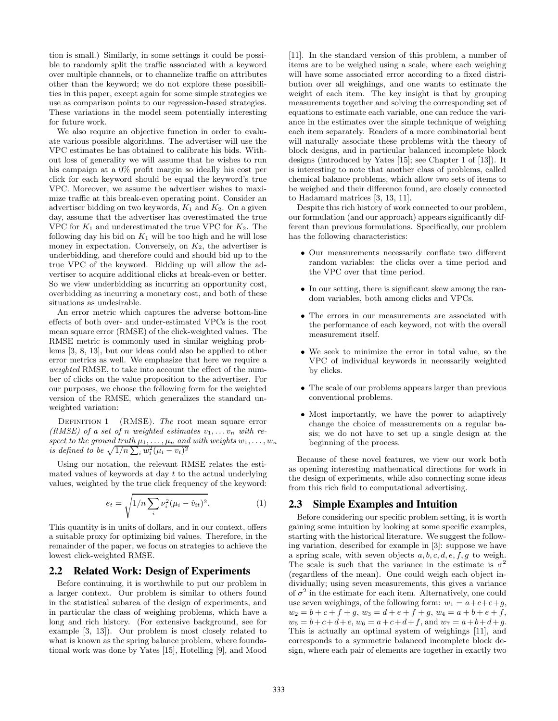tion is small.) Similarly, in some settings it could be possible to randomly split the traffic associated with a keyword over multiple channels, or to channelize traffic on attributes other than the keyword; we do not explore these possibilities in this paper, except again for some simple strategies we use as comparison points to our regression-based strategies. These variations in the model seem potentially interesting for future work.

We also require an objective function in order to evaluate various possible algorithms. The advertiser will use the VPC estimates he has obtained to calibrate his bids. Without loss of generality we will assume that he wishes to run his campaign at a 0% profit margin so ideally his cost per click for each keyword should be equal the keyword's true VPC. Moreover, we assume the advertiser wishes to maximize traffic at this break-even operating point. Consider an advertiser bidding on two keywords,  $K_1$  and  $K_2$ . On a given day, assume that the advertiser has overestimated the true VPC for  $K_1$  and underestimated the true VPC for  $K_2$ . The following day his bid on  $K_1$  will be too high and he will lose money in expectation. Conversely, on  $K_2$ , the advertiser is underbidding, and therefore could and should bid up to the true VPC of the keyword. Bidding up will allow the advertiser to acquire additional clicks at break-even or better. So we view underbidding as incurring an opportunity cost, overbidding as incurring a monetary cost, and both of these situations as undesirable.

An error metric which captures the adverse bottom-line effects of both over- and under-estimated VPCs is the root mean square error (RMSE) of the click-weighted values. The RMSE metric is commonly used in similar weighing problems [3, 8, 13], but our ideas could also be applied to other error metrics as well. We emphasize that here we require a *weighted* RMSE, to take into account the effect of the number of clicks on the value proposition to the advertiser. For our purposes, we choose the following form for the weighted version of the RMSE, which generalizes the standard unweighted variation:

DEFINITION 1 (RMSE). *The* root mean square error *(RMSE)* of a set of n *weighted estimates*  $v_1, \ldots, v_n$  *with respect to the ground truth*  $\mu_1, \ldots, \mu_n$  *and with weights*  $w_1, \ldots, w_n$ *is defined to be*  $\sqrt{1/n} \sum_i w_i^2 (\mu_i - v_i)^2$ 

Using our notation, the relevant RMSE relates the estimated values of keywords at day t to the actual underlying values, weighted by the true click frequency of the keyword:

$$
e_t = \sqrt{1/n \sum_i \nu_i^2 (\mu_i - \hat{v}_{it})^2}.
$$
 (1)

This quantity is in units of dollars, and in our context, offers a suitable proxy for optimizing bid values. Therefore, in the remainder of the paper, we focus on strategies to achieve the lowest click-weighted RMSE.

#### **2.2 Related Work: Design of Experiments**

Before continuing, it is worthwhile to put our problem in a larger context. Our problem is similar to others found in the statistical subarea of the design of experiments, and in particular the class of weighing problems, which have a long and rich history. (For extensive background, see for example [3, 13]). Our problem is most closely related to what is known as the spring balance problem, where foundational work was done by Yates [15], Hotelling [9], and Mood [11]. In the standard version of this problem, a number of items are to be weighed using a scale, where each weighing will have some associated error according to a fixed distribution over all weighings, and one wants to estimate the weight of each item. The key insight is that by grouping measurements together and solving the corresponding set of equations to estimate each variable, one can reduce the variance in the estimates over the simple technique of weighing each item separately. Readers of a more combinatorial bent will naturally associate these problems with the theory of block designs, and in particular balanced incomplete block designs (introduced by Yates [15]; see Chapter 1 of [13]). It is interesting to note that another class of problems, called chemical balance problems, which allow two sets of items to be weighed and their difference found, are closely connected to Hadamard matrices [3, 13, 11].

Despite this rich history of work connected to our problem, our formulation (and our approach) appears significantly different than previous formulations. Specifically, our problem has the following characteristics:

- Our measurements necessarily conflate two different random variables: the clicks over a time period and the VPC over that time period.
- In our setting, there is significant skew among the random variables, both among clicks and VPCs.
- The errors in our measurements are associated with the performance of each keyword, not with the overall measurement itself.
- We seek to minimize the error in total value, so the VPC of individual keywords in necessarily weighted by clicks.
- The scale of our problems appears larger than previous conventional problems.
- Most importantly, we have the power to adaptively change the choice of measurements on a regular basis; we do not have to set up a single design at the beginning of the process.

Because of these novel features, we view our work both as opening interesting mathematical directions for work in the design of experiments, while also connecting some ideas from this rich field to computational advertising.

# **2.3 Simple Examples and Intuition**

Before considering our specific problem setting, it is worth gaining some intuition by looking at some specific examples, starting with the historical literature. We suggest the following variation, described for example in [3]: suppose we have a spring scale, with seven objects  $a, b, c, d, e, f, g$  to weigh. The scale is such that the variance in the estimate is  $\sigma^2$ (regardless of the mean). One could weigh each object individually; using seven measurements, this gives a variance of  $\sigma^2$  in the estimate for each item. Alternatively, one could use seven weighings, of the following form:  $w_1 = a+c+e+q$ ,  $w_2 = b + c + f + g$ ,  $w_3 = d + e + f + g$ ,  $w_4 = a + b + e + f$ ,  $w_5 = b+c+d+e$ ,  $w_6 = a+c+d+f$ , and  $w_7 = a+b+d+g$ . This is actually an optimal system of weighings [11], and corresponds to a symmetric balanced incomplete block design, where each pair of elements are together in exactly two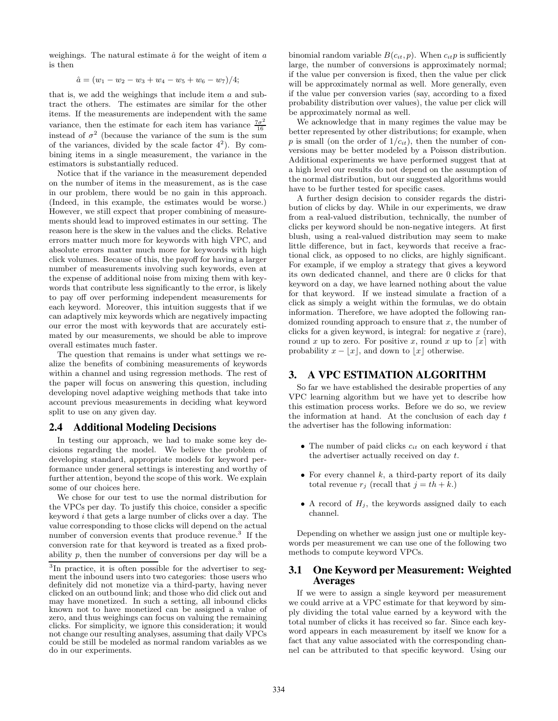weighings. The natural estimate  $\hat{a}$  for the weight of item  $a$ is then

$$
\hat{a} = (w_1 - w_2 - w_3 + w_4 - w_5 + w_6 - w_7)/4;
$$

that is, we add the weighings that include item  $a$  and subtract the others. The estimates are similar for the other items. If the measurements are independent with the same variance, then the estimate for each item has variance  $\frac{7\sigma^2}{16}$ instead of  $\sigma^2$  (because the variance of the sum is the sum of the variances, divided by the scale factor  $4^2$ ). By combining items in a single measurement, the variance in the estimators is substantially reduced.

Notice that if the variance in the measurement depended on the number of items in the measurement, as is the case in our problem, there would be no gain in this approach. (Indeed, in this example, the estimates would be worse.) However, we still expect that proper combining of measurements should lead to improved estimates in our setting. The reason here is the skew in the values and the clicks. Relative errors matter much more for keywords with high VPC, and absolute errors matter much more for keywords with high click volumes. Because of this, the payoff for having a larger number of measurements involving such keywords, even at the expense of additional noise from mixing them with keywords that contribute less significantly to the error, is likely to pay off over performing independent measurements for each keyword. Moreover, this intuition suggests that if we can adaptively mix keywords which are negatively impacting our error the most with keywords that are accurately estimated by our measurements, we should be able to improve overall estimates much faster.

The question that remains is under what settings we realize the benefits of combining measurements of keywords within a channel and using regression methods. The rest of the paper will focus on answering this question, including developing novel adaptive weighing methods that take into account previous measurements in deciding what keyword split to use on any given day.

#### **2.4 Additional Modeling Decisions**

In testing our approach, we had to make some key decisions regarding the model. We believe the problem of developing standard, appropriate models for keyword performance under general settings is interesting and worthy of further attention, beyond the scope of this work. We explain some of our choices here.

We chose for our test to use the normal distribution for the VPCs per day. To justify this choice, consider a specific keyword i that gets a large number of clicks over a day. The value corresponding to those clicks will depend on the actual number of conversion events that produce revenue.<sup>3</sup> If the conversion rate for that keyword is treated as a fixed probability  $p$ , then the number of conversions per day will be a

binomial random variable  $B(c_{it}, p)$ . When  $c_{it} p$  is sufficiently large, the number of conversions is approximately normal; if the value per conversion is fixed, then the value per click will be approximately normal as well. More generally, even if the value per conversion varies (say, according to a fixed probability distribution over values), the value per click will be approximately normal as well.

We acknowledge that in many regimes the value may be better represented by other distributions; for example, when p is small (on the order of  $1/c_{it}$ ), then the number of conversions may be better modeled by a Poisson distribution. Additional experiments we have performed suggest that at a high level our results do not depend on the assumption of the normal distribution, but our suggested algorithms would have to be further tested for specific cases.

A further design decision to consider regards the distribution of clicks by day. While in our experiments, we draw from a real-valued distribution, technically, the number of clicks per keyword should be non-negative integers. At first blush, using a real-valued distribution may seem to make little difference, but in fact, keywords that receive a fractional click, as opposed to no clicks, are highly significant. For example, if we employ a strategy that gives a keyword its own dedicated channel, and there are 0 clicks for that keyword on a day, we have learned nothing about the value for that keyword. If we instead simulate a fraction of a click as simply a weight within the formulas, we do obtain information. Therefore, we have adopted the following randomized rounding approach to ensure that  $x$ , the number of clicks for a given keyword, is integral: for negative  $x$  (rare), round x up to zero. For positive x, round x up to  $\lceil x \rceil$  with probability  $x - |x|$ , and down to |x| otherwise.

# **3. A VPC ESTIMATION ALGORITHM**

So far we have established the desirable properties of any VPC learning algorithm but we have yet to describe how this estimation process works. Before we do so, we review the information at hand. At the conclusion of each day t the advertiser has the following information:

- The number of paid clicks  $c_{it}$  on each keyword i that the advertiser actually received on day t.
- For every channel  $k$ , a third-party report of its daily total revenue  $r_j$  (recall that  $j = th + k$ .)
- A record of  $H_i$ , the keywords assigned daily to each channel.

Depending on whether we assign just one or multiple keywords per measurement we can use one of the following two methods to compute keyword VPCs.

# **3.1 One Keyword per Measurement: Weighted Averages**

If we were to assign a single keyword per measurement we could arrive at a VPC estimate for that keyword by simply dividing the total value earned by a keyword with the total number of clicks it has received so far. Since each keyword appears in each measurement by itself we know for a fact that any value associated with the corresponding channel can be attributed to that specific keyword. Using our

<sup>3</sup>In practice, it is often possible for the advertiser to segment the inbound users into two categories: those users who definitely did not monetize via a third-party, having never clicked on an outbound link; and those who did click out and may have monetized. In such a setting, all inbound clicks known not to have monetized can be assigned a value of zero, and thus weighings can focus on valuing the remaining clicks. For simplicity, we ignore this consideration; it would not change our resulting analyses, assuming that daily VPCs could be still be modeled as normal random variables as we do in our experiments.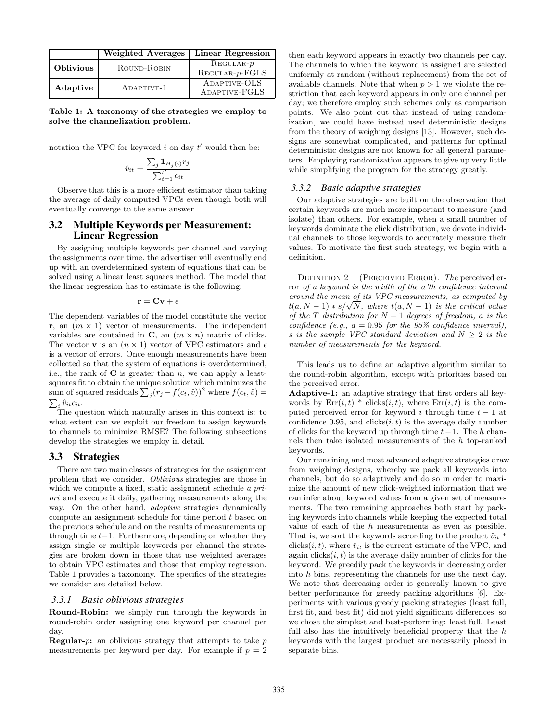|                  | <b>Weighted Averages</b> | Linear Regression               |
|------------------|--------------------------|---------------------------------|
| <b>Oblivious</b> | ROUND-ROBIN              | $REGULAR-p$<br>$REGULAR-p-FGLS$ |
| Adaptive         | ADAPTIVE-1               | ADAPTIVE-OLS<br>ADAPTIVE-FGLS   |

**Table 1: A taxonomy of the strategies we employ to solve the channelization problem.**

notation the VPC for keyword  $i$  on day  $t'$  would then be:

$$
\hat{v}_{it} = \frac{\sum_{j} \mathbf{1}_{H_j(i)} r_j}{\sum_{t=1}^{t'} c_{it}}
$$

Observe that this is a more efficient estimator than taking the average of daily computed VPCs even though both will eventually converge to the same answer.

# **3.2 Multiple Keywords per Measurement: Linear Regression**

By assigning multiple keywords per channel and varying the assignments over time, the advertiser will eventually end up with an overdetermined system of equations that can be solved using a linear least squares method. The model that the linear regression has to estimate is the following:

 $\mathbf{r} = \mathbf{C}\mathbf{v} + \epsilon$ 

The dependent variables of the model constitute the vector **r**, an  $(m \times 1)$  vector of measurements. The independent variables are contained in  $C$ , an  $(m \times n)$  matrix of clicks. The vector **v** is an  $(n \times 1)$  vector of VPC estimators and  $\epsilon$ is a vector of errors. Once enough measurements have been collected so that the system of equations is overdetermined, i.e., the rank of  $C$  is greater than  $n$ , we can apply a leastsquares fit to obtain the unique solution which minimizes the sum of squared residuals  $\sum_j (r_j - f(c_t, \hat{v}))^2$  where  $f(c_t, \hat{v}) =$  $\sum_i \hat{v}_{it} c_{it}.$ 

The question which naturally arises in this context is: to what extent can we exploit our freedom to assign keywords to channels to minimize RMSE? The following subsections develop the strategies we employ in detail.

#### **3.3 Strategies**

There are two main classes of strategies for the assignment problem that we consider. *Oblivious* strategies are those in which we compute a fixed, static assignment schedule *a priori* and execute it daily, gathering measurements along the way. On the other hand, *adaptive* strategies dynamically compute an assignment schedule for time period t based on the previous schedule and on the results of measurements up through time  $t-1$ . Furthermore, depending on whether they assign single or multiple keywords per channel the strategies are broken down in those that use weighted averages to obtain VPC estimates and those that employ regression. Table 1 provides a taxonomy. The specifics of the strategies we consider are detailed below.

#### *3.3.1 Basic oblivious strategies*

**Round-Robin:** we simply run through the keywords in round-robin order assigning one keyword per channel per day.

**Regular-** $p$ **: an oblivious strategy that attempts to take**  $p$ measurements per keyword per day. For example if  $p = 2$  then each keyword appears in exactly two channels per day. The channels to which the keyword is assigned are selected uniformly at random (without replacement) from the set of available channels. Note that when  $p > 1$  we violate the restriction that each keyword appears in only one channel per day; we therefore employ such schemes only as comparison points. We also point out that instead of using randomization, we could have instead used deterministic designs from the theory of weighing designs [13]. However, such designs are somewhat complicated, and patterns for optimal deterministic designs are not known for all general parameters. Employing randomization appears to give up very little while simplifying the program for the strategy greatly.

#### *3.3.2 Basic adaptive strategies*

Our adaptive strategies are built on the observation that certain keywords are much more important to measure (and isolate) than others. For example, when a small number of keywords dominate the click distribution, we devote individual channels to those keywords to accurately measure their values. To motivate the first such strategy, we begin with a definition.

Definition 2 (Perceived Error). *The* perceived error *of a keyword is the width of the* a*'th confidence interval around the mean of its VPC measurements, as computed by*  $t(a, N-1) * s/\sqrt{N}$ , where  $t(a, N-1)$  *is the critical value of the* T *distribution for* N − 1 *degrees of freedom,* a *is the confidence (e.g.,* a = 0.95 *for the 95% confidence interval), s is the sample VPC standard deviation and*  $N \geq 2$  *is the number of measurements for the keyword.*

This leads us to define an adaptive algorithm similar to the round-robin algorithm, except with priorities based on the perceived error.

**Adaptive-1:** an adaptive strategy that first orders all keywords by  $Err(i, t) * \text{clicks}(i, t)$ , where  $Err(i, t)$  is the computed perceived error for keyword i through time  $t-1$  at confidence 0.95, and clicks $(i, t)$  is the average daily number of clicks for the keyword up through time  $t-1$ . The h channels then take isolated measurements of the h top-ranked keywords.

Our remaining and most advanced adaptive strategies draw from weighing designs, whereby we pack all keywords into channels, but do so adaptively and do so in order to maximize the amount of new click-weighted information that we can infer about keyword values from a given set of measurements. The two remaining approaches both start by packing keywords into channels while keeping the expected total value of each of the h measurements as even as possible. That is, we sort the keywords according to the product  $\hat{v}_{it}$  \* clicks $(i, t)$ , where  $\hat{v}_{it}$  is the current estimate of the VPC, and again clicks $(i, t)$  is the average daily number of clicks for the keyword. We greedily pack the keywords in decreasing order into h bins, representing the channels for use the next day. We note that decreasing order is generally known to give better performance for greedy packing algorithms [6]. Experiments with various greedy packing strategies (least full, first fit, and best fit) did not yield significant differences, so we chose the simplest and best-performing: least full. Least full also has the intuitively beneficial property that the  $h$ keywords with the largest product are necessarily placed in separate bins.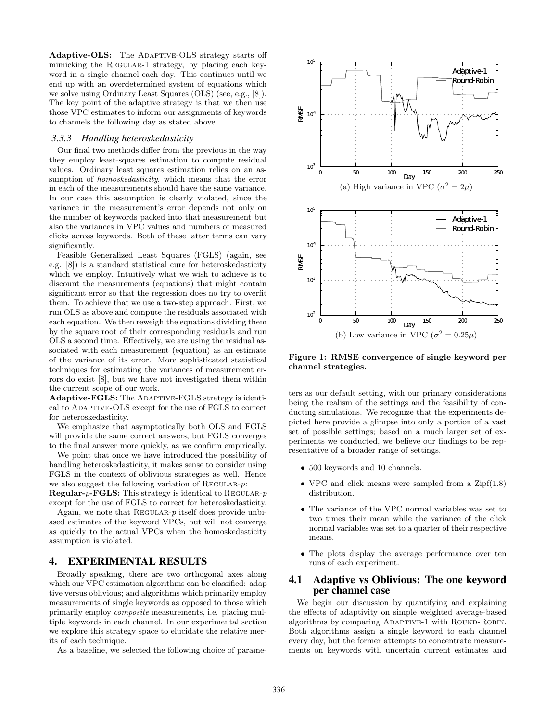Adaptive-OLS: The ADAPTIVE-OLS strategy starts off mimicking the Regular-1 strategy, by placing each keyword in a single channel each day. This continues until we end up with an overdetermined system of equations which we solve using Ordinary Least Squares (OLS) (see, e.g., [8]). The key point of the adaptive strategy is that we then use those VPC estimates to inform our assignments of keywords to channels the following day as stated above.

#### *3.3.3 Handling heteroskedasticity*

Our final two methods differ from the previous in the way they employ least-squares estimation to compute residual values. Ordinary least squares estimation relies on an assumption of *homoskedasticity*, which means that the error in each of the measurements should have the same variance. In our case this assumption is clearly violated, since the variance in the measurement's error depends not only on the number of keywords packed into that measurement but also the variances in VPC values and numbers of measured clicks across keywords. Both of these latter terms can vary significantly.

Feasible Generalized Least Squares (FGLS) (again, see e.g. [8]) is a standard statistical cure for heteroskedasticity which we employ. Intuitively what we wish to achieve is to discount the measurements (equations) that might contain significant error so that the regression does no try to overfit them. To achieve that we use a two-step approach. First, we run OLS as above and compute the residuals associated with each equation. We then reweigh the equations dividing them by the square root of their corresponding residuals and run OLS a second time. Effectively, we are using the residual associated with each measurement (equation) as an estimate of the variance of its error. More sophisticated statistical techniques for estimating the variances of measurement errors do exist [8], but we have not investigated them within the current scope of our work.

Adaptive-FGLS: The ADAPTIVE-FGLS strategy is identical to Adaptive-OLS except for the use of FGLS to correct for heteroskedasticity.

We emphasize that asymptotically both OLS and FGLS will provide the same correct answers, but FGLS converges to the final answer more quickly, as we confirm empirically.

We point that once we have introduced the possibility of handling heteroskedasticity, it makes sense to consider using FGLS in the context of oblivious strategies as well. Hence we also suggest the following variation of REGULAR- $p$ :

**Regular-***p*-**FGLS:** This strategy is identical to REGULAR-*p* except for the use of FGLS to correct for heteroskedasticity.

Again, we note that  $\text{RecULAR-}p$  itself does provide unbiased estimates of the keyword VPCs, but will not converge as quickly to the actual VPCs when the homoskedasticity assumption is violated.

### **4. EXPERIMENTAL RESULTS**

Broadly speaking, there are two orthogonal axes along which our VPC estimation algorithms can be classified: adaptive versus oblivious; and algorithms which primarily employ measurements of single keywords as opposed to those which primarily employ *composite* measurements, i.e. placing multiple keywords in each channel. In our experimental section we explore this strategy space to elucidate the relative merits of each technique.

As a baseline, we selected the following choice of parame-



**Figure 1: RMSE convergence of single keyword per channel strategies.**

ters as our default setting, with our primary considerations being the realism of the settings and the feasibility of conducting simulations. We recognize that the experiments depicted here provide a glimpse into only a portion of a vast set of possible settings; based on a much larger set of experiments we conducted, we believe our findings to be representative of a broader range of settings.

- 500 keywords and 10 channels.
- VPC and click means were sampled from a  $\text{Zipf}(1.8)$ distribution.
- The variance of the VPC normal variables was set to two times their mean while the variance of the click normal variables was set to a quarter of their respective means.
- The plots display the average performance over ten runs of each experiment.

# **4.1 Adaptive vs Oblivious: The one keyword per channel case**

We begin our discussion by quantifying and explaining the effects of adaptivity on simple weighted average-based algorithms by comparing ADAPTIVE-1 with ROUND-ROBIN. Both algorithms assign a single keyword to each channel every day, but the former attempts to concentrate measurements on keywords with uncertain current estimates and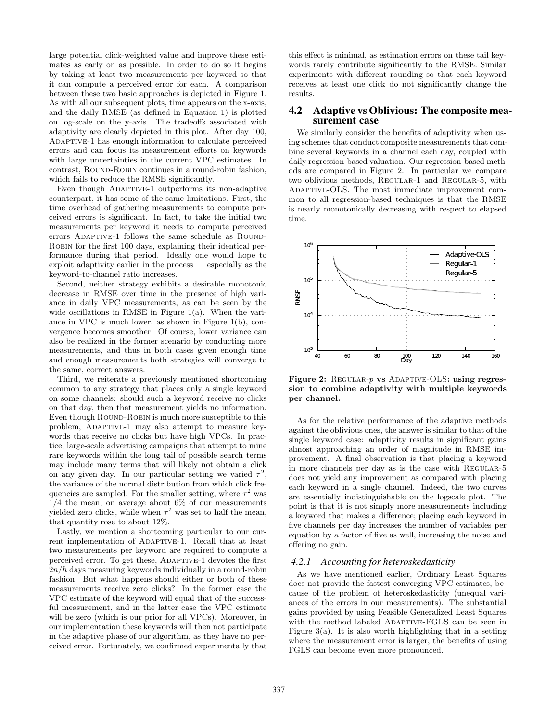large potential click-weighted value and improve these estimates as early on as possible. In order to do so it begins by taking at least two measurements per keyword so that it can compute a perceived error for each. A comparison between these two basic approaches is depicted in Figure 1. As with all our subsequent plots, time appears on the x-axis, and the daily RMSE (as defined in Equation 1) is plotted on log-scale on the y-axis. The tradeoffs associated with adaptivity are clearly depicted in this plot. After day 100, Adaptive-1 has enough information to calculate perceived errors and can focus its measurement efforts on keywords with large uncertainties in the current VPC estimates. In contrast, ROUND-ROBIN continues in a round-robin fashion, which fails to reduce the RMSE significantly.

Even though Adaptive-1 outperforms its non-adaptive counterpart, it has some of the same limitations. First, the time overhead of gathering measurements to compute perceived errors is significant. In fact, to take the initial two measurements per keyword it needs to compute perceived errors ADAPTIVE-1 follows the same schedule as ROUND-ROBIN for the first 100 days, explaining their identical performance during that period. Ideally one would hope to exploit adaptivity earlier in the process — especially as the keyword-to-channel ratio increases.

Second, neither strategy exhibits a desirable monotonic decrease in RMSE over time in the presence of high variance in daily VPC measurements, as can be seen by the wide oscillations in RMSE in Figure 1(a). When the variance in VPC is much lower, as shown in Figure 1(b), convergence becomes smoother. Of course, lower variance can also be realized in the former scenario by conducting more measurements, and thus in both cases given enough time and enough measurements both strategies will converge to the same, correct answers.

Third, we reiterate a previously mentioned shortcoming common to any strategy that places only a single keyword on some channels: should such a keyword receive no clicks on that day, then that measurement yields no information. Even though ROUND-ROBIN is much more susceptible to this problem, Adaptive-1 may also attempt to measure keywords that receive no clicks but have high VPCs. In practice, large-scale advertising campaigns that attempt to mine rare keywords within the long tail of possible search terms may include many terms that will likely not obtain a click on any given day. In our particular setting we varied  $\tau^2$ , the variance of the normal distribution from which click frequencies are sampled. For the smaller setting, where  $\tau^2$  was  $1/4$  the mean, on average about 6% of our measurements yielded zero clicks, while when  $\tau^2$  was set to half the mean, that quantity rose to about 12%.

Lastly, we mention a shortcoming particular to our current implementation of ADAPTIVE-1. Recall that at least two measurements per keyword are required to compute a perceived error. To get these, Adaptive-1 devotes the first  $2n/h$  days measuring keywords individually in a round-robin fashion. But what happens should either or both of these measurements receive zero clicks? In the former case the VPC estimate of the keyword will equal that of the successful measurement, and in the latter case the VPC estimate will be zero (which is our prior for all VPCs). Moreover, in our implementation these keywords will then not participate in the adaptive phase of our algorithm, as they have no perceived error. Fortunately, we confirmed experimentally that

this effect is minimal, as estimation errors on these tail keywords rarely contribute significantly to the RMSE. Similar experiments with different rounding so that each keyword receives at least one click do not significantly change the results.

#### **4.2 Adaptive vs Oblivious: The composite measurement case**

We similarly consider the benefits of adaptivity when using schemes that conduct composite measurements that combine several keywords in a channel each day, coupled with daily regression-based valuation. Our regression-based methods are compared in Figure 2. In particular we compare two oblivious methods, Regular-1 and Regular-5, with Adaptive-OLS. The most immediate improvement common to all regression-based techniques is that the RMSE is nearly monotonically decreasing with respect to elapsed time.



Figure 2: REGULAR-p **vs** ADAPTIVE-OLS: using regres**sion to combine adaptivity with multiple keywords per channel.**

As for the relative performance of the adaptive methods against the oblivious ones, the answer is similar to that of the single keyword case: adaptivity results in significant gains almost approaching an order of magnitude in RMSE improvement. A final observation is that placing a keyword in more channels per day as is the case with REGULAR-5 does not yield any improvement as compared with placing each keyword in a single channel. Indeed, the two curves are essentially indistinguishable on the logscale plot. The point is that it is not simply more measurements including a keyword that makes a difference; placing each keyword in five channels per day increases the number of variables per equation by a factor of five as well, increasing the noise and offering no gain.

#### *4.2.1 Accounting for heteroskedasticity*

As we have mentioned earlier, Ordinary Least Squares does not provide the fastest converging VPC estimates, because of the problem of heteroskedasticity (unequal variances of the errors in our measurements). The substantial gains provided by using Feasible Generalized Least Squares with the method labeled ADAPTIVE-FGLS can be seen in Figure 3(a). It is also worth highlighting that in a setting where the measurement error is larger, the benefits of using FGLS can become even more pronounced.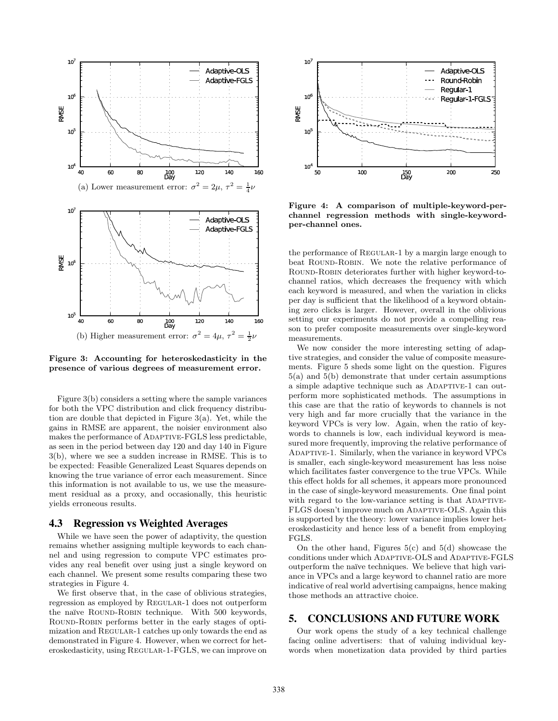

**Figure 3: Accounting for heteroskedasticity in the presence of various degrees of measurement error.**

Figure 3(b) considers a setting where the sample variances for both the VPC distribution and click frequency distribution are double that depicted in Figure 3(a). Yet, while the gains in RMSE are apparent, the noisier environment also makes the performance of ADAPTIVE-FGLS less predictable, as seen in the period between day 120 and day 140 in Figure 3(b), where we see a sudden increase in RMSE. This is to be expected: Feasible Generalized Least Squares depends on knowing the true variance of error each measurement. Since this information is not available to us, we use the measurement residual as a proxy, and occasionally, this heuristic yields erroneous results.

## **4.3 Regression vs Weighted Averages**

While we have seen the power of adaptivity, the question remains whether assigning multiple keywords to each channel and using regression to compute VPC estimates provides any real benefit over using just a single keyword on each channel. We present some results comparing these two strategies in Figure 4.

We first observe that, in the case of oblivious strategies, regression as employed by Regular-1 does not outperform the naïve ROUND-ROBIN technique. With 500 keywords, ROUND-ROBIN performs better in the early stages of optimization and Regular-1 catches up only towards the end as demonstrated in Figure 4. However, when we correct for heteroskedasticity, using Regular-1-FGLS, we can improve on



**Figure 4: A comparison of multiple-keyword-perchannel regression methods with single-keywordper-channel ones.**

the performance of Regular-1 by a margin large enough to beat ROUND-ROBIN. We note the relative performance of ROUND-ROBIN deteriorates further with higher keyword-tochannel ratios, which decreases the frequency with which each keyword is measured, and when the variation in clicks per day is sufficient that the likelihood of a keyword obtaining zero clicks is larger. However, overall in the oblivious setting our experiments do not provide a compelling reason to prefer composite measurements over single-keyword measurements.

We now consider the more interesting setting of adaptive strategies, and consider the value of composite measurements. Figure 5 sheds some light on the question. Figures 5(a) and 5(b) demonstrate that under certain assumptions a simple adaptive technique such as ADAPTIVE-1 can outperform more sophisticated methods. The assumptions in this case are that the ratio of keywords to channels is not very high and far more crucially that the variance in the keyword VPCs is very low. Again, when the ratio of keywords to channels is low, each individual keyword is measured more frequently, improving the relative performance of Adaptive-1. Similarly, when the variance in keyword VPCs is smaller, each single-keyword measurement has less noise which facilitates faster convergence to the true VPCs. While this effect holds for all schemes, it appears more pronounced in the case of single-keyword measurements. One final point with regard to the low-variance setting is that ADAPTIVE-FLGS doesn't improve much on ADAPTIVE-OLS. Again this is supported by the theory: lower variance implies lower heteroskedasticity and hence less of a benefit from employing FGLS.

On the other hand, Figures  $5(c)$  and  $5(d)$  showcase the conditions under which Adaptive-OLS and Adaptive-FGLS outperform the naïve techniques. We believe that high variance in VPCs and a large keyword to channel ratio are more indicative of real world advertising campaigns, hence making those methods an attractive choice.

# **5. CONCLUSIONS AND FUTURE WORK**

Our work opens the study of a key technical challenge facing online advertisers: that of valuing individual keywords when monetization data provided by third parties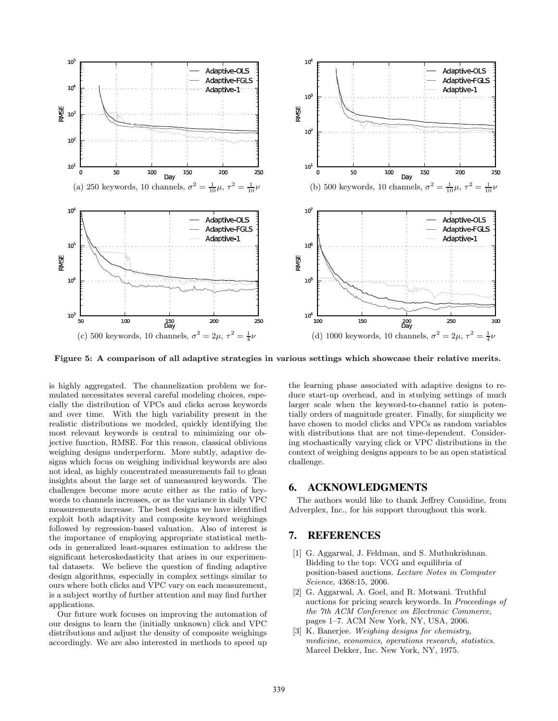

**Figure 5: A comparison of all adaptive strategies in various settings which showcase their relative merits.**

is highly aggregated. The channelization problem we formulated necessitates several careful modeling choices, especially the distribution of VPCs and clicks across keywords and over time. With the high variability present in the realistic distributions we modeled, quickly identifying the most relevant keywords is central to minimizing our objective function, RMSE. For this reason, classical oblivious weighing designs underperform. More subtly, adaptive designs which focus on weighing individual keywords are also not ideal, as highly concentrated measurements fail to glean insights about the large set of unmeasured keywords. The challenges become more acute either as the ratio of keywords to channels increases, or as the variance in daily VPC measurements increase. The best designs we have identified exploit both adaptivity and composite keyword weighings followed by regression-based valuation. Also of interest is the importance of employing appropriate statistical methods in generalized least-squares estimation to address the significant heteroskedasticity that arises in our experimental datasets. We believe the question of finding adaptive design algorithms, especially in complex settings similar to ours where both clicks and VPC vary on each measurement, is a subject worthy of further attention and may find further applications.

Our future work focuses on improving the automation of our designs to learn the (initially unknown) click and VPC distributions and adjust the density of composite weighings accordingly. We are also interested in methods to speed up the learning phase associated with adaptive designs to reduce start-up overhead, and in studying settings of much larger scale when the keyword-to-channel ratio is potentially orders of magnitude greater. Finally, for simplicity we have chosen to model clicks and VPCs as random variables with distributions that are not time-dependent. Considering stochastically varying click or VPC distributions in the context of weighing designs appears to be an open statistical challenge.

# **6. ACKNOWLEDGMENTS**

The authors would like to thank Jeffrey Considine, from Adverplex, Inc., for his support throughout this work.

# **7. REFERENCES**

- [1] G. Aggarwal, J. Feldman, and S. Muthukrishnan. Bidding to the top: VCG and equilibria of position-based auctions. *Lecture Notes in Computer Science*, 4368:15, 2006.
- [2] G. Aggarwal, A. Goel, and R. Motwani. Truthful auctions for pricing search keywords. In *Proceedings of the 7th ACM Conference on Electronic Commerce*, pages 1–7. ACM New York, NY, USA, 2006.
- [3] K. Banerjee. *Weighing designs for chemistry, medicine, economics, operations research, statistics*. Marcel Dekker, Inc. New York, NY, 1975.